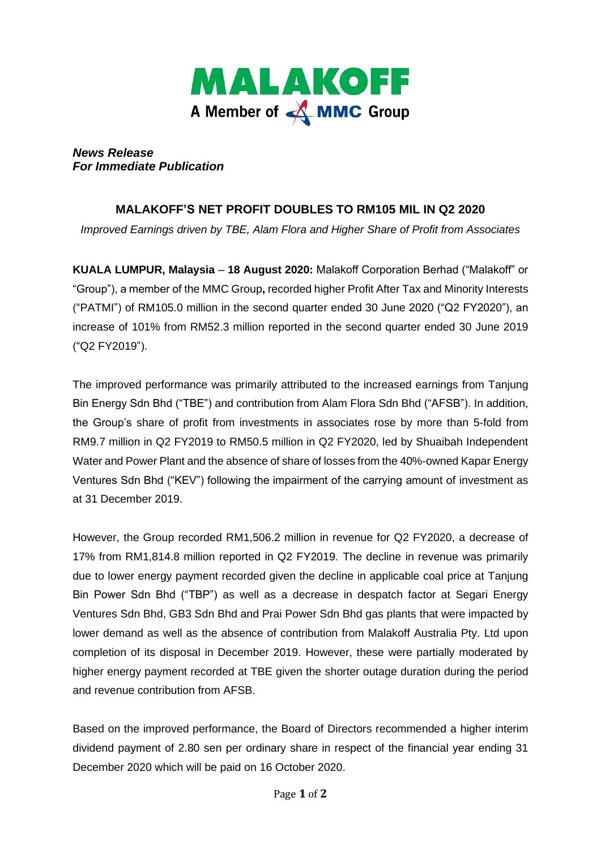

*News Release For Immediate Publication* 

## **MALAKOFF'S NET PROFIT DOUBLES TO RM105 MIL IN Q2 2020**

*Improved Earnings driven by TBE, Alam Flora and Higher Share of Profit from Associates*

**KUALA LUMPUR, Malaysia** – **18 August 2020:** Malakoff Corporation Berhad ("Malakoff" or "Group"), a member of the MMC Group**,** recorded higher Profit After Tax and Minority Interests ("PATMI") of RM105.0 million in the second quarter ended 30 June 2020 ("Q2 FY2020"), an increase of 101% from RM52.3 million reported in the second quarter ended 30 June 2019 ("Q2 FY2019").

The improved performance was primarily attributed to the increased earnings from Tanjung Bin Energy Sdn Bhd ("TBE") and contribution from Alam Flora Sdn Bhd ("AFSB"). In addition, the Group's share of profit from investments in associates rose by more than 5-fold from RM9.7 million in Q2 FY2019 to RM50.5 million in Q2 FY2020, led by Shuaibah Independent Water and Power Plant and the absence of share of losses from the 40%-owned Kapar Energy Ventures Sdn Bhd ("KEV") following the impairment of the carrying amount of investment as at 31 December 2019.

However, the Group recorded RM1,506.2 million in revenue for Q2 FY2020, a decrease of 17% from RM1,814.8 million reported in Q2 FY2019. The decline in revenue was primarily due to lower energy payment recorded given the decline in applicable coal price at Tanjung Bin Power Sdn Bhd ("TBP") as well as a decrease in despatch factor at Segari Energy Ventures Sdn Bhd, GB3 Sdn Bhd and Prai Power Sdn Bhd gas plants that were impacted by lower demand as well as the absence of contribution from Malakoff Australia Pty. Ltd upon completion of its disposal in December 2019. However, these were partially moderated by higher energy payment recorded at TBE given the shorter outage duration during the period and revenue contribution from AFSB.

Based on the improved performance, the Board of Directors recommended a higher interim dividend payment of 2.80 sen per ordinary share in respect of the financial year ending 31 December 2020 which will be paid on 16 October 2020.